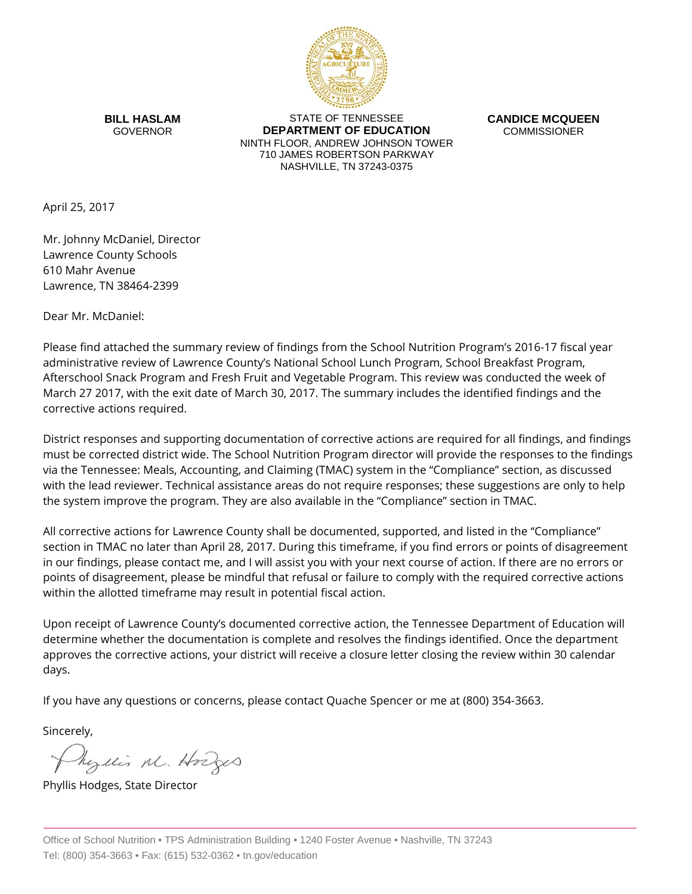

**BILL HASLAM** GOVERNOR

STATE OF TENNESSEE **DEPARTMENT OF EDUCATION** NINTH FLOOR, ANDREW JOHNSON TOWER 710 JAMES ROBERTSON PARKWAY NASHVILLE, TN 37243-0375

**CANDICE MCQUEEN** COMMISSIONER

April 25, 2017

Mr. Johnny McDaniel, Director Lawrence County Schools 610 Mahr Avenue Lawrence, TN 38464-2399

Dear Mr. McDaniel:

Please find attached the summary review of findings from the School Nutrition Program's 2016-17 fiscal year administrative review of Lawrence County's National School Lunch Program, School Breakfast Program, Afterschool Snack Program and Fresh Fruit and Vegetable Program. This review was conducted the week of March 27 2017, with the exit date of March 30, 2017. The summary includes the identified findings and the corrective actions required.

District responses and supporting documentation of corrective actions are required for all findings, and findings must be corrected district wide. The School Nutrition Program director will provide the responses to the findings via the Tennessee: Meals, Accounting, and Claiming (TMAC) system in the "Compliance" section, as discussed with the lead reviewer. Technical assistance areas do not require responses; these suggestions are only to help the system improve the program. They are also available in the "Compliance" section in TMAC.

All corrective actions for Lawrence County shall be documented, supported, and listed in the "Compliance" section in TMAC no later than April 28, 2017. During this timeframe, if you find errors or points of disagreement in our findings, please contact me, and I will assist you with your next course of action. If there are no errors or points of disagreement, please be mindful that refusal or failure to comply with the required corrective actions within the allotted timeframe may result in potential fiscal action.

Upon receipt of Lawrence County's documented corrective action, the Tennessee Department of Education will determine whether the documentation is complete and resolves the findings identified. Once the department approves the corrective actions, your district will receive a closure letter closing the review within 30 calendar days.

If you have any questions or concerns, please contact Quache Spencer or me at (800) 354-3663.

Sincerely,

Physics M. Hodges

Phyllis Hodges, State Director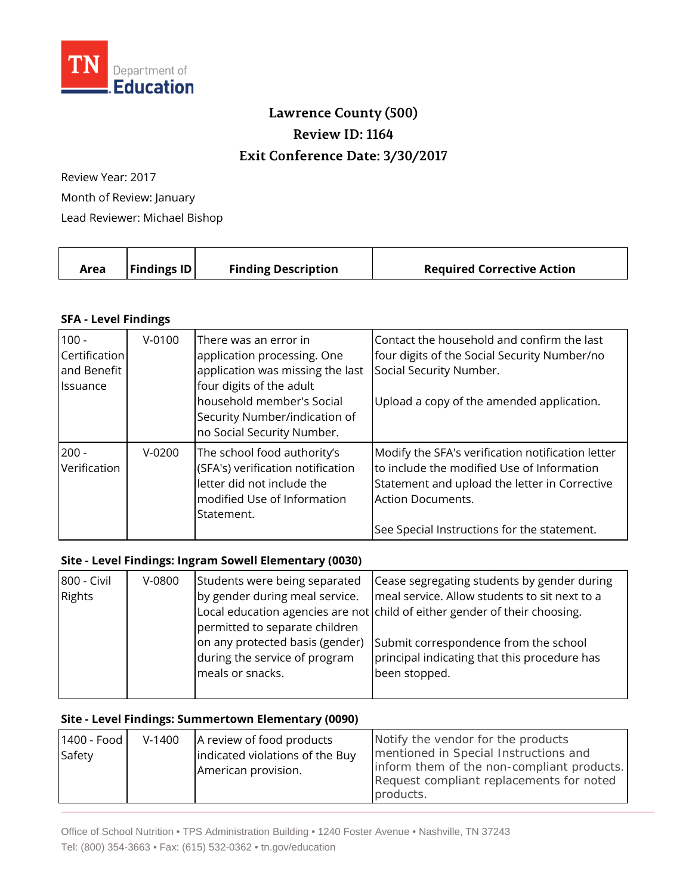

## **Lawrence County (500) Review ID: 1164 Exit Conference Date: 3/30/2017**

Review Year: 2017 Month of Review: January Lead Reviewer: Michael Bishop

| <b>Findings ID</b><br><b>Finding Description</b><br><b>Required Corrective Action</b><br>Area |  |  |  |  |
|-----------------------------------------------------------------------------------------------|--|--|--|--|
|-----------------------------------------------------------------------------------------------|--|--|--|--|

## **SFA - Level Findings**

| $100 -$<br><b>Certification</b><br>and Benefit<br><b>I</b> lssuance | $V - 0100$ | There was an error in<br>application processing. One<br>application was missing the last<br>four digits of the adult<br>household member's Social<br>Security Number/indication of<br>no Social Security Number. | Contact the household and confirm the last<br>four digits of the Social Security Number/no<br>Social Security Number.<br>Upload a copy of the amended application.                                                   |
|---------------------------------------------------------------------|------------|------------------------------------------------------------------------------------------------------------------------------------------------------------------------------------------------------------------|----------------------------------------------------------------------------------------------------------------------------------------------------------------------------------------------------------------------|
| $200 -$<br>Verification                                             | $V - 0200$ | The school food authority's<br>(SFA's) verification notification<br>letter did not include the<br>modified Use of Information<br>Statement.                                                                      | Modify the SFA's verification notification letter<br>to include the modified Use of Information<br>Statement and upload the letter in Corrective<br>Action Documents.<br>See Special Instructions for the statement. |

## **Site - Level Findings: Ingram Sowell Elementary (0030)**

| 800 - Civil | V-0800 | Students were being separated   | Cease segregating students by gender during                                |
|-------------|--------|---------------------------------|----------------------------------------------------------------------------|
| Rights      |        | by gender during meal service.  | meal service. Allow students to sit next to a                              |
|             |        |                                 | Local education agencies are not child of either gender of their choosing. |
|             |        | permitted to separate children  |                                                                            |
|             |        | on any protected basis (gender) | Submit correspondence from the school                                      |
|             |        | during the service of program   | principal indicating that this procedure has                               |
|             |        | meals or snacks.                | been stopped.                                                              |
|             |        |                                 |                                                                            |

## **Site - Level Findings: Summertown Elementary (0090)**

| 1400 - Food<br>Safety | $V-1400$ | A review of food products<br>indicated violations of the Buy<br>American provision. | Notify the vendor for the products<br>mentioned in Special Instructions and<br>inform them of the non-compliant products.<br>Request compliant replacements for noted<br>products. |
|-----------------------|----------|-------------------------------------------------------------------------------------|------------------------------------------------------------------------------------------------------------------------------------------------------------------------------------|
|-----------------------|----------|-------------------------------------------------------------------------------------|------------------------------------------------------------------------------------------------------------------------------------------------------------------------------------|